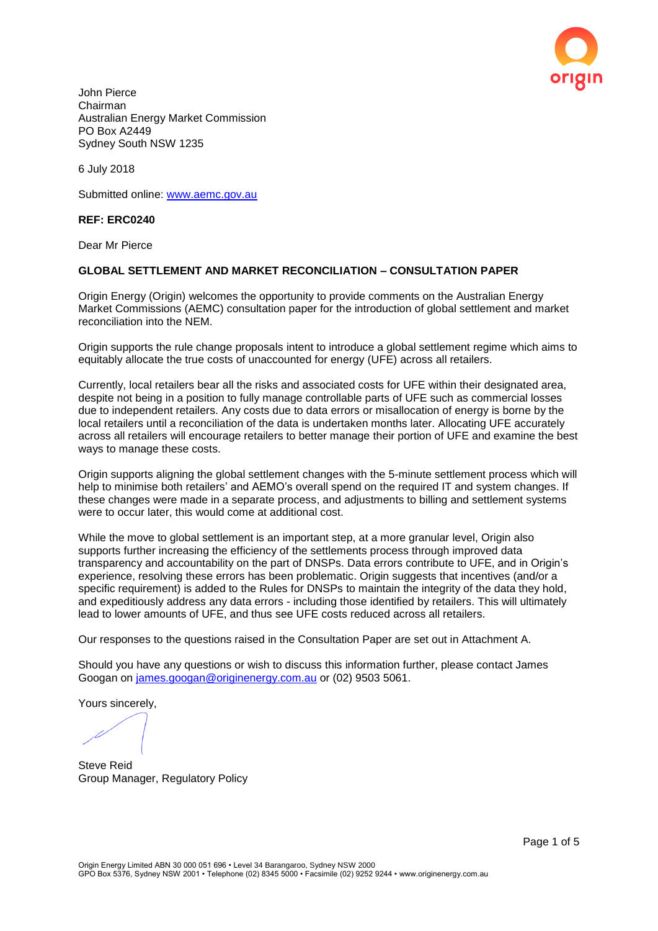

John Pierce Chairman Australian Energy Market Commission PO Box A2449 Sydney South NSW 1235

6 July 2018

Submitted online: [www.aemc.gov.au](http://www.aemc.gov.au/)

## **REF: ERC0240**

Dear Mr Pierce

## **GLOBAL SETTLEMENT AND MARKET RECONCILIATION – CONSULTATION PAPER**

Origin Energy (Origin) welcomes the opportunity to provide comments on the Australian Energy Market Commissions (AEMC) consultation paper for the introduction of global settlement and market reconciliation into the NEM.

Origin supports the rule change proposals intent to introduce a global settlement regime which aims to equitably allocate the true costs of unaccounted for energy (UFE) across all retailers.

Currently, local retailers bear all the risks and associated costs for UFE within their designated area, despite not being in a position to fully manage controllable parts of UFE such as commercial losses due to independent retailers. Any costs due to data errors or misallocation of energy is borne by the local retailers until a reconciliation of the data is undertaken months later. Allocating UFE accurately across all retailers will encourage retailers to better manage their portion of UFE and examine the best ways to manage these costs.

Origin supports aligning the global settlement changes with the 5-minute settlement process which will help to minimise both retailers' and AEMO's overall spend on the required IT and system changes. If these changes were made in a separate process, and adjustments to billing and settlement systems were to occur later, this would come at additional cost.

While the move to global settlement is an important step, at a more granular level, Origin also supports further increasing the efficiency of the settlements process through improved data transparency and accountability on the part of DNSPs. Data errors contribute to UFE, and in Origin's experience, resolving these errors has been problematic. Origin suggests that incentives (and/or a specific requirement) is added to the Rules for DNSPs to maintain the integrity of the data they hold, and expeditiously address any data errors - including those identified by retailers. This will ultimately lead to lower amounts of UFE, and thus see UFE costs reduced across all retailers.

Our responses to the questions raised in the Consultation Paper are set out in Attachment A.

Should you have any questions or wish to discuss this information further, please contact James Googan on [james.googan@originenergy.com.au](mailto:james.googan@originenergy.com.au) or (02) 9503 5061.

Yours sincerely,

Steve Reid Group Manager, Regulatory Policy

Page 1 of 5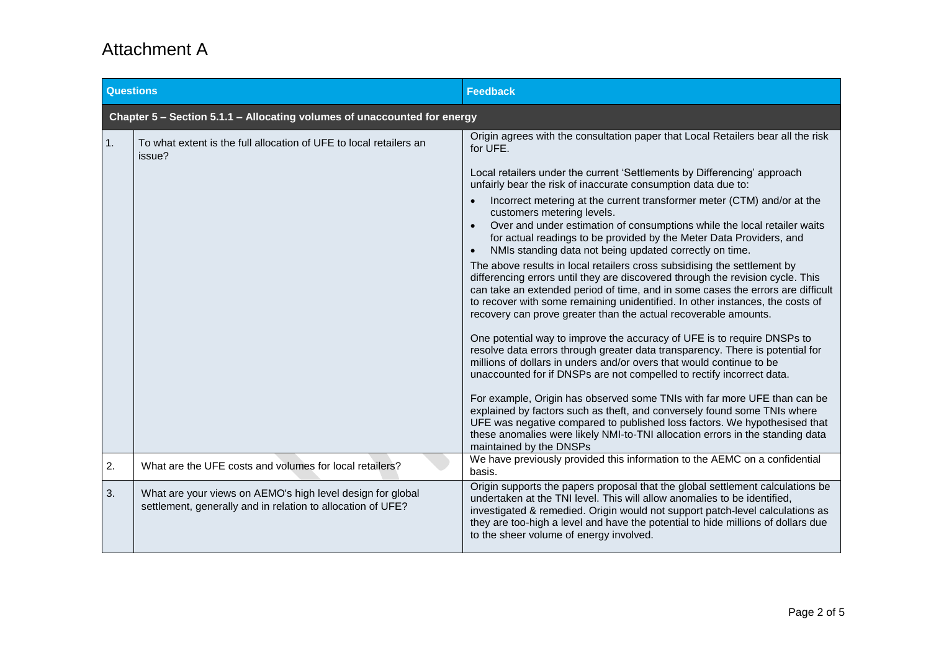## Attachment A

| <b>Questions</b>                                                         |                                                                                                                           | <b>Feedback</b>                                                                                                                                                                                                                                                                                                                                                                                   |  |  |
|--------------------------------------------------------------------------|---------------------------------------------------------------------------------------------------------------------------|---------------------------------------------------------------------------------------------------------------------------------------------------------------------------------------------------------------------------------------------------------------------------------------------------------------------------------------------------------------------------------------------------|--|--|
| Chapter 5 - Section 5.1.1 - Allocating volumes of unaccounted for energy |                                                                                                                           |                                                                                                                                                                                                                                                                                                                                                                                                   |  |  |
| 1.                                                                       | To what extent is the full allocation of UFE to local retailers an<br>issue?                                              | Origin agrees with the consultation paper that Local Retailers bear all the risk<br>for UFE.                                                                                                                                                                                                                                                                                                      |  |  |
|                                                                          |                                                                                                                           | Local retailers under the current 'Settlements by Differencing' approach<br>unfairly bear the risk of inaccurate consumption data due to:                                                                                                                                                                                                                                                         |  |  |
|                                                                          |                                                                                                                           | Incorrect metering at the current transformer meter (CTM) and/or at the<br>customers metering levels.<br>Over and under estimation of consumptions while the local retailer waits<br>$\bullet$<br>for actual readings to be provided by the Meter Data Providers, and<br>NMIs standing data not being updated correctly on time.<br>$\bullet$                                                     |  |  |
|                                                                          |                                                                                                                           | The above results in local retailers cross subsidising the settlement by<br>differencing errors until they are discovered through the revision cycle. This<br>can take an extended period of time, and in some cases the errors are difficult<br>to recover with some remaining unidentified. In other instances, the costs of<br>recovery can prove greater than the actual recoverable amounts. |  |  |
|                                                                          |                                                                                                                           | One potential way to improve the accuracy of UFE is to require DNSPs to<br>resolve data errors through greater data transparency. There is potential for<br>millions of dollars in unders and/or overs that would continue to be<br>unaccounted for if DNSPs are not compelled to rectify incorrect data.                                                                                         |  |  |
|                                                                          |                                                                                                                           | For example, Origin has observed some TNIs with far more UFE than can be<br>explained by factors such as theft, and conversely found some TNIs where<br>UFE was negative compared to published loss factors. We hypothesised that<br>these anomalies were likely NMI-to-TNI allocation errors in the standing data<br>maintained by the DNSPs                                                     |  |  |
| 2.                                                                       | What are the UFE costs and volumes for local retailers?                                                                   | We have previously provided this information to the AEMC on a confidential<br>basis.                                                                                                                                                                                                                                                                                                              |  |  |
| 3.                                                                       | What are your views on AEMO's high level design for global<br>settlement, generally and in relation to allocation of UFE? | Origin supports the papers proposal that the global settlement calculations be<br>undertaken at the TNI level. This will allow anomalies to be identified,<br>investigated & remedied. Origin would not support patch-level calculations as<br>they are too-high a level and have the potential to hide millions of dollars due<br>to the sheer volume of energy involved.                        |  |  |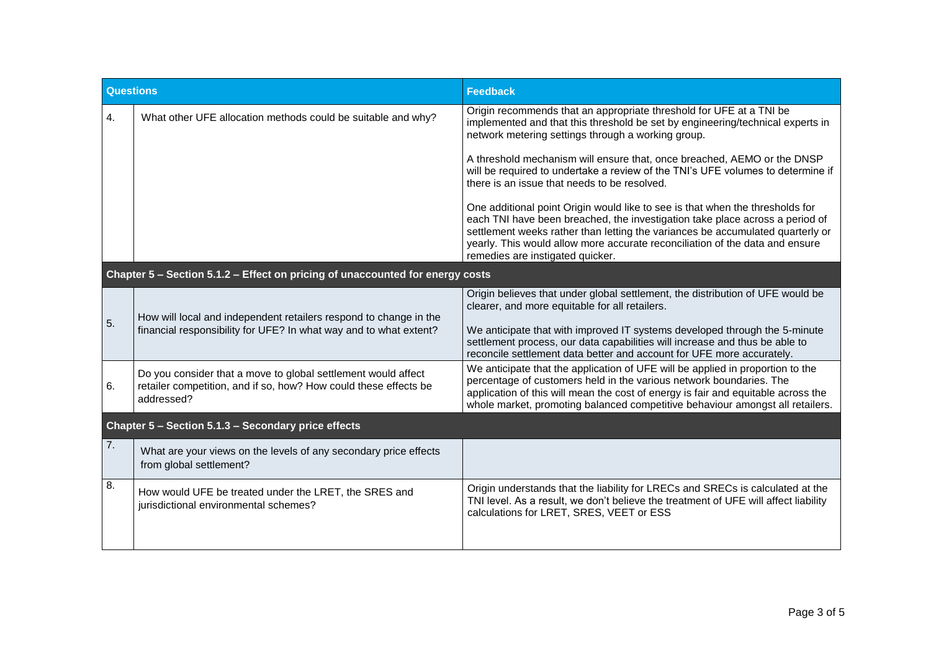| <b>Questions</b>                                                              |                                                                                                                                                 | <b>Feedback</b>                                                                                                                                                                                                                                                                                                                                                        |  |  |
|-------------------------------------------------------------------------------|-------------------------------------------------------------------------------------------------------------------------------------------------|------------------------------------------------------------------------------------------------------------------------------------------------------------------------------------------------------------------------------------------------------------------------------------------------------------------------------------------------------------------------|--|--|
| 4.                                                                            | What other UFE allocation methods could be suitable and why?                                                                                    | Origin recommends that an appropriate threshold for UFE at a TNI be<br>implemented and that this threshold be set by engineering/technical experts in<br>network metering settings through a working group.                                                                                                                                                            |  |  |
|                                                                               |                                                                                                                                                 | A threshold mechanism will ensure that, once breached, AEMO or the DNSP<br>will be required to undertake a review of the TNI's UFE volumes to determine if<br>there is an issue that needs to be resolved.                                                                                                                                                             |  |  |
|                                                                               |                                                                                                                                                 | One additional point Origin would like to see is that when the thresholds for<br>each TNI have been breached, the investigation take place across a period of<br>settlement weeks rather than letting the variances be accumulated quarterly or<br>yearly. This would allow more accurate reconciliation of the data and ensure<br>remedies are instigated quicker.    |  |  |
| Chapter 5 - Section 5.1.2 - Effect on pricing of unaccounted for energy costs |                                                                                                                                                 |                                                                                                                                                                                                                                                                                                                                                                        |  |  |
| 5.                                                                            | How will local and independent retailers respond to change in the<br>financial responsibility for UFE? In what way and to what extent?          | Origin believes that under global settlement, the distribution of UFE would be<br>clearer, and more equitable for all retailers.<br>We anticipate that with improved IT systems developed through the 5-minute<br>settlement process, our data capabilities will increase and thus be able to<br>reconcile settlement data better and account for UFE more accurately. |  |  |
| 6.                                                                            | Do you consider that a move to global settlement would affect<br>retailer competition, and if so, how? How could these effects be<br>addressed? | We anticipate that the application of UFE will be applied in proportion to the<br>percentage of customers held in the various network boundaries. The<br>application of this will mean the cost of energy is fair and equitable across the<br>whole market, promoting balanced competitive behaviour amongst all retailers.                                            |  |  |
| Chapter 5 - Section 5.1.3 - Secondary price effects                           |                                                                                                                                                 |                                                                                                                                                                                                                                                                                                                                                                        |  |  |
| 7.                                                                            | What are your views on the levels of any secondary price effects<br>from global settlement?                                                     |                                                                                                                                                                                                                                                                                                                                                                        |  |  |
| 8.                                                                            | How would UFE be treated under the LRET, the SRES and<br>jurisdictional environmental schemes?                                                  | Origin understands that the liability for LRECs and SRECs is calculated at the<br>TNI level. As a result, we don't believe the treatment of UFE will affect liability<br>calculations for LRET, SRES, VEET or ESS                                                                                                                                                      |  |  |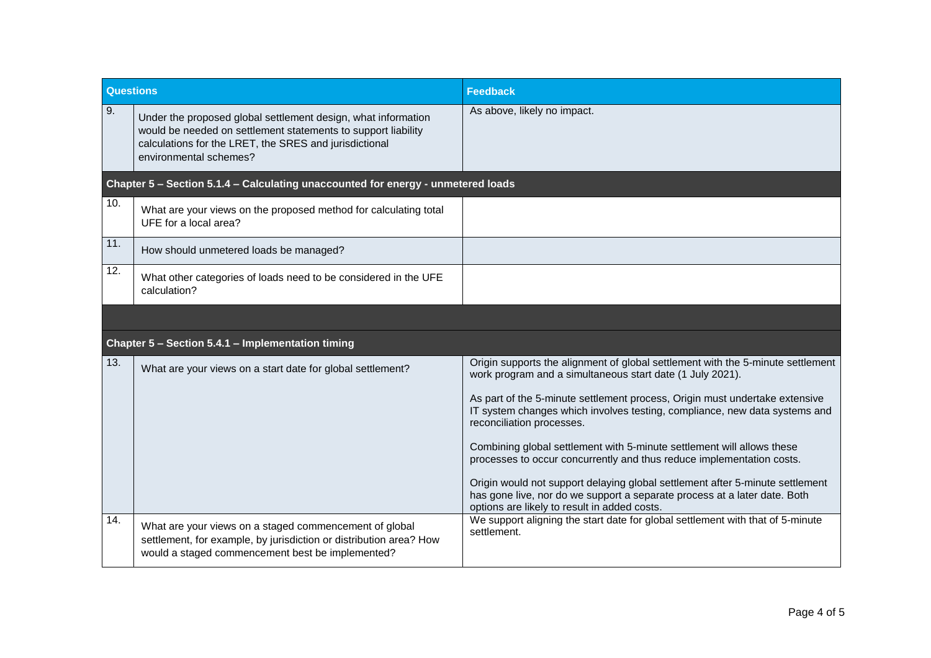| <b>Questions</b>                                                                 |                                                                                                                                                                                                                    | <b>Feedback</b>                                                                                                                                                                                                                                                                                                                                                                                                                                                                                                                                                                                                                                                                                         |  |  |
|----------------------------------------------------------------------------------|--------------------------------------------------------------------------------------------------------------------------------------------------------------------------------------------------------------------|---------------------------------------------------------------------------------------------------------------------------------------------------------------------------------------------------------------------------------------------------------------------------------------------------------------------------------------------------------------------------------------------------------------------------------------------------------------------------------------------------------------------------------------------------------------------------------------------------------------------------------------------------------------------------------------------------------|--|--|
| 9.                                                                               | Under the proposed global settlement design, what information<br>would be needed on settlement statements to support liability<br>calculations for the LRET, the SRES and jurisdictional<br>environmental schemes? | As above, likely no impact.                                                                                                                                                                                                                                                                                                                                                                                                                                                                                                                                                                                                                                                                             |  |  |
| Chapter 5 - Section 5.1.4 - Calculating unaccounted for energy - unmetered loads |                                                                                                                                                                                                                    |                                                                                                                                                                                                                                                                                                                                                                                                                                                                                                                                                                                                                                                                                                         |  |  |
| 10.                                                                              | What are your views on the proposed method for calculating total<br>UFE for a local area?                                                                                                                          |                                                                                                                                                                                                                                                                                                                                                                                                                                                                                                                                                                                                                                                                                                         |  |  |
| 11.                                                                              | How should unmetered loads be managed?                                                                                                                                                                             |                                                                                                                                                                                                                                                                                                                                                                                                                                                                                                                                                                                                                                                                                                         |  |  |
| 12.                                                                              | What other categories of loads need to be considered in the UFE<br>calculation?                                                                                                                                    |                                                                                                                                                                                                                                                                                                                                                                                                                                                                                                                                                                                                                                                                                                         |  |  |
|                                                                                  |                                                                                                                                                                                                                    |                                                                                                                                                                                                                                                                                                                                                                                                                                                                                                                                                                                                                                                                                                         |  |  |
| Chapter 5 - Section 5.4.1 - Implementation timing                                |                                                                                                                                                                                                                    |                                                                                                                                                                                                                                                                                                                                                                                                                                                                                                                                                                                                                                                                                                         |  |  |
| 13.                                                                              | What are your views on a start date for global settlement?                                                                                                                                                         | Origin supports the alignment of global settlement with the 5-minute settlement<br>work program and a simultaneous start date (1 July 2021).<br>As part of the 5-minute settlement process, Origin must undertake extensive<br>IT system changes which involves testing, compliance, new data systems and<br>reconciliation processes.<br>Combining global settlement with 5-minute settlement will allows these<br>processes to occur concurrently and thus reduce implementation costs.<br>Origin would not support delaying global settlement after 5-minute settlement<br>has gone live, nor do we support a separate process at a later date. Both<br>options are likely to result in added costs. |  |  |
| 14.                                                                              | What are your views on a staged commencement of global<br>settlement, for example, by jurisdiction or distribution area? How<br>would a staged commencement best be implemented?                                   | We support aligning the start date for global settlement with that of 5-minute<br>settlement.                                                                                                                                                                                                                                                                                                                                                                                                                                                                                                                                                                                                           |  |  |